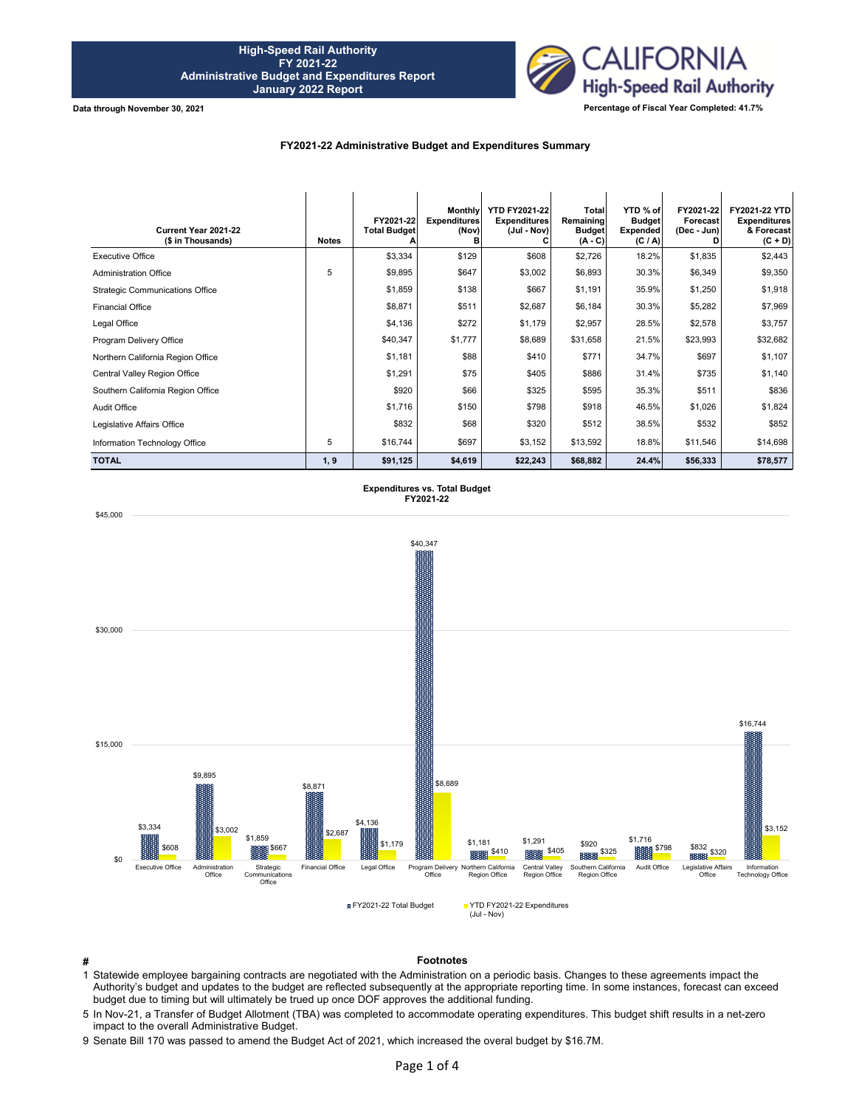

## **FY2021-22 Administrative Budget and Expenditures Summary**

| Current Year 2021-22<br>(\$ in Thousands) | <b>Notes</b> | FY2021-22<br><b>Total Budget</b> | <b>Monthly</b><br><b>Expenditures</b><br>(Nov)<br>в | <b>YTD FY2021-22</b><br><b>Expenditures</b><br>(Jul - Nov) | Total<br>Remaining<br><b>Budget</b><br>$(A - C)$ | YTD % of<br><b>Budget</b><br><b>Expended</b><br>(C / A) | FY2021-22<br>Forecast<br>(Dec - Jun) | FY2021-22 YTD<br><b>Expenditures</b><br>& Forecast<br>$(C + D)$ |
|-------------------------------------------|--------------|----------------------------------|-----------------------------------------------------|------------------------------------------------------------|--------------------------------------------------|---------------------------------------------------------|--------------------------------------|-----------------------------------------------------------------|
| <b>Executive Office</b>                   |              | \$3,334                          | \$129                                               | \$608                                                      | \$2,726                                          | 18.2%                                                   | \$1,835                              | \$2,443                                                         |
| <b>Administration Office</b>              | 5            | \$9,895                          | \$647                                               | \$3,002                                                    | \$6,893                                          | 30.3%                                                   | \$6,349                              | \$9,350                                                         |
| <b>Strategic Communications Office</b>    |              | \$1,859                          | \$138                                               | \$667                                                      | \$1,191                                          | 35.9%                                                   | \$1,250                              | \$1,918                                                         |
| <b>Financial Office</b>                   |              | \$8,871                          | \$511                                               | \$2,687                                                    | \$6,184                                          | 30.3%                                                   | \$5,282                              | \$7,969                                                         |
| Legal Office                              |              | \$4,136                          | \$272                                               | \$1,179                                                    | \$2,957                                          | 28.5%                                                   | \$2,578                              | \$3,757                                                         |
| Program Delivery Office                   |              | \$40,347                         | \$1,777                                             | \$8,689                                                    | \$31,658                                         | 21.5%                                                   | \$23,993                             | \$32,682                                                        |
| Northern California Region Office         |              | \$1,181                          | \$88                                                | \$410                                                      | \$771                                            | 34.7%                                                   | \$697                                | \$1,107                                                         |
| Central Valley Region Office              |              | \$1,291                          | \$75                                                | \$405                                                      | \$886                                            | 31.4%                                                   | \$735                                | \$1,140                                                         |
| Southern California Region Office         |              | \$920                            | \$66                                                | \$325                                                      | \$595                                            | 35.3%                                                   | \$511                                | \$836                                                           |
| Audit Office                              |              | \$1,716                          | \$150                                               | \$798                                                      | \$918                                            | 46.5%                                                   | \$1,026                              | \$1,824                                                         |
| Legislative Affairs Office                |              | \$832                            | \$68                                                | \$320                                                      | \$512                                            | 38.5%                                                   | \$532                                | \$852                                                           |
| Information Technology Office             | 5            | \$16,744                         | \$697                                               | \$3,152                                                    | \$13,592                                         | 18.8%                                                   | \$11,546                             | \$14,698                                                        |
| <b>TOTAL</b>                              | 1, 9         | \$91,125                         | \$4,619                                             | \$22,243                                                   | \$68,882                                         | 24.4%                                                   | \$56,333                             | \$78,577                                                        |

**Expenditures vs. Total Budget FY2021-22**



**# Footnotes**

1 Statewide employee bargaining contracts are negotiated with the Administration on a periodic basis. Changes to these agreements impact the Authority's budget and updates to the budget are reflected subsequently at the appropriate reporting time. In some instances, forecast can exceed budget due to timing but will ultimately be trued up once DOF approves the additional funding.

5 In Nov-21, a Transfer of Budget Allotment (TBA) was completed to accommodate operating expenditures. This budget shift results in a net-zero impact to the overall Administrative Budget.

9 Senate Bill 170 was passed to amend the Budget Act of 2021, which increased the overal budget by \$16.7M.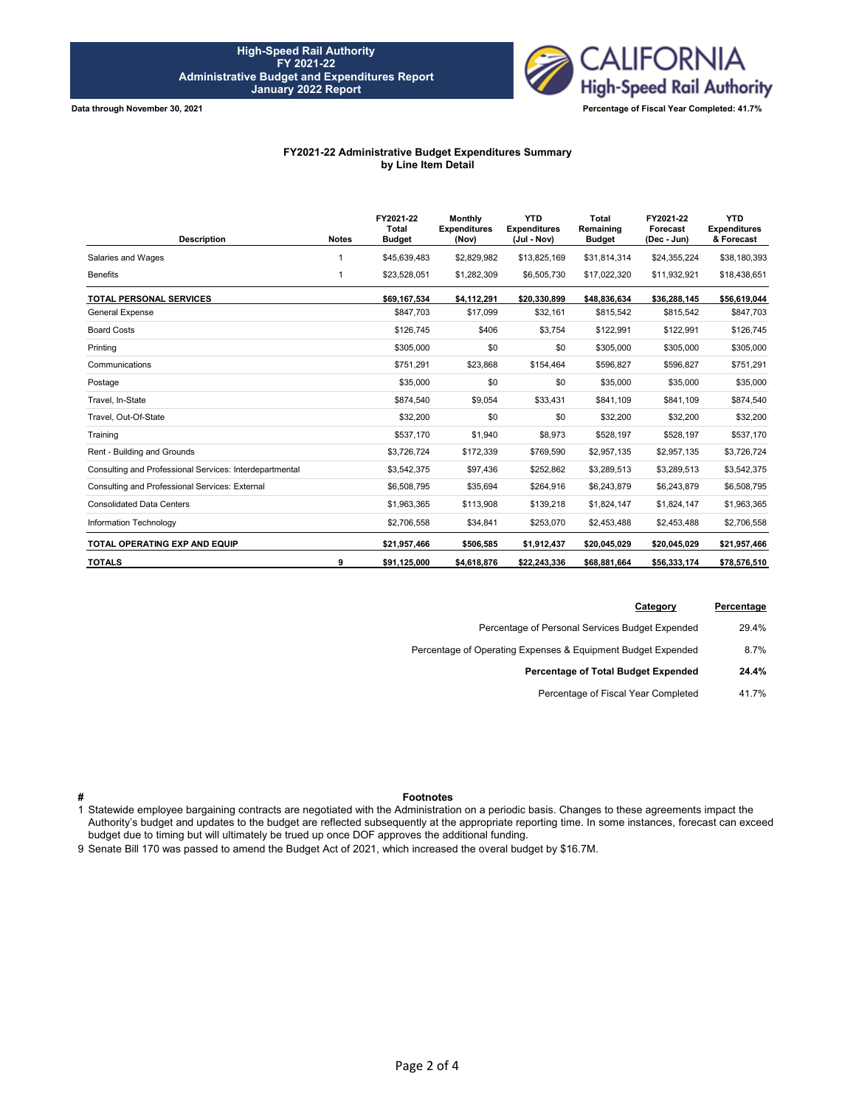

## **FY2021-22 Administrative Budget Expenditures Summary by Line Item Detail**

| <b>Description</b>                                      | <b>Notes</b> | FY2021-22<br>Total<br><b>Budget</b> | <b>Monthly</b><br><b>Expenditures</b><br>(Nov) | <b>YTD</b><br><b>Expenditures</b><br>(Jul - Nov) | Total<br>Remaining<br><b>Budget</b> | FY2021-22<br>Forecast<br>(Dec - Jun) | <b>YTD</b><br><b>Expenditures</b><br>& Forecast |
|---------------------------------------------------------|--------------|-------------------------------------|------------------------------------------------|--------------------------------------------------|-------------------------------------|--------------------------------------|-------------------------------------------------|
| Salaries and Wages                                      |              | \$45,639,483                        | \$2,829,982                                    | \$13,825,169                                     | \$31,814,314                        | \$24,355,224                         | \$38,180,393                                    |
| <b>Benefits</b>                                         | 1            | \$23,528,051                        | \$1,282,309                                    | \$6,505,730                                      | \$17,022,320                        | \$11,932,921                         | \$18,438,651                                    |
| <b>TOTAL PERSONAL SERVICES</b>                          |              | \$69,167,534                        | \$4,112,291                                    | \$20,330,899                                     | \$48,836,634                        | \$36,288,145                         | \$56,619,044                                    |
| <b>General Expense</b>                                  |              | \$847.703                           | \$17,099                                       | \$32,161                                         | \$815,542                           | \$815,542                            | \$847,703                                       |
| <b>Board Costs</b>                                      |              | \$126.745                           | \$406                                          | \$3,754                                          | \$122,991                           | \$122,991                            | \$126,745                                       |
| Printing                                                |              | \$305,000                           | \$0                                            | \$0                                              | \$305,000                           | \$305,000                            | \$305,000                                       |
| Communications                                          |              | \$751,291                           | \$23,868                                       | \$154,464                                        | \$596,827                           | \$596,827                            | \$751,291                                       |
| Postage                                                 |              | \$35,000                            | \$0                                            | \$0                                              | \$35,000                            | \$35,000                             | \$35,000                                        |
| Travel, In-State                                        |              | \$874,540                           | \$9,054                                        | \$33,431                                         | \$841,109                           | \$841,109                            | \$874,540                                       |
| Travel. Out-Of-State                                    |              | \$32,200                            | \$0                                            | \$0                                              | \$32,200                            | \$32,200                             | \$32,200                                        |
| Training                                                |              | \$537,170                           | \$1,940                                        | \$8,973                                          | \$528,197                           | \$528,197                            | \$537,170                                       |
| Rent - Building and Grounds                             |              | \$3,726,724                         | \$172,339                                      | \$769,590                                        | \$2,957,135                         | \$2,957,135                          | \$3,726,724                                     |
| Consulting and Professional Services: Interdepartmental |              | \$3,542,375                         | \$97,436                                       | \$252,862                                        | \$3,289,513                         | \$3,289,513                          | \$3,542,375                                     |
| Consulting and Professional Services: External          |              | \$6,508,795                         | \$35,694                                       | \$264,916                                        | \$6,243,879                         | \$6,243,879                          | \$6,508,795                                     |
| <b>Consolidated Data Centers</b>                        |              | \$1,963,365                         | \$113,908                                      | \$139,218                                        | \$1,824,147                         | \$1,824,147                          | \$1,963,365                                     |
| Information Technology                                  |              | \$2,706,558                         | \$34,841                                       | \$253,070                                        | \$2,453,488                         | \$2,453,488                          | \$2,706,558                                     |
| TOTAL OPERATING EXP AND EQUIP                           |              | \$21,957,466                        | \$506,585                                      | \$1,912,437                                      | \$20,045,029                        | \$20,045,029                         | \$21,957,466                                    |
| <b>TOTALS</b>                                           | 9            | \$91,125,000                        | \$4,618,876                                    | \$22.243.336                                     | \$68,881,664                        | \$56,333,174                         | \$78,576,510                                    |

| Percentage | Category                                                     |
|------------|--------------------------------------------------------------|
| 29.4%      | Percentage of Personal Services Budget Expended              |
| 8.7%       | Percentage of Operating Expenses & Equipment Budget Expended |
| 24.4%      | Percentage of Total Budget Expended                          |
| 41.7%      | Percentage of Fiscal Year Completed                          |
|            |                                                              |

## **# Footnotes**

1 Statewide employee bargaining contracts are negotiated with the Administration on a periodic basis. Changes to these agreements impact the Authority's budget and updates to the budget are reflected subsequently at the appropriate reporting time. In some instances, forecast can exceed budget due to timing but will ultimately be trued up once DOF approves the additional funding.

9 Senate Bill 170 was passed to amend the Budget Act of 2021, which increased the overal budget by \$16.7M.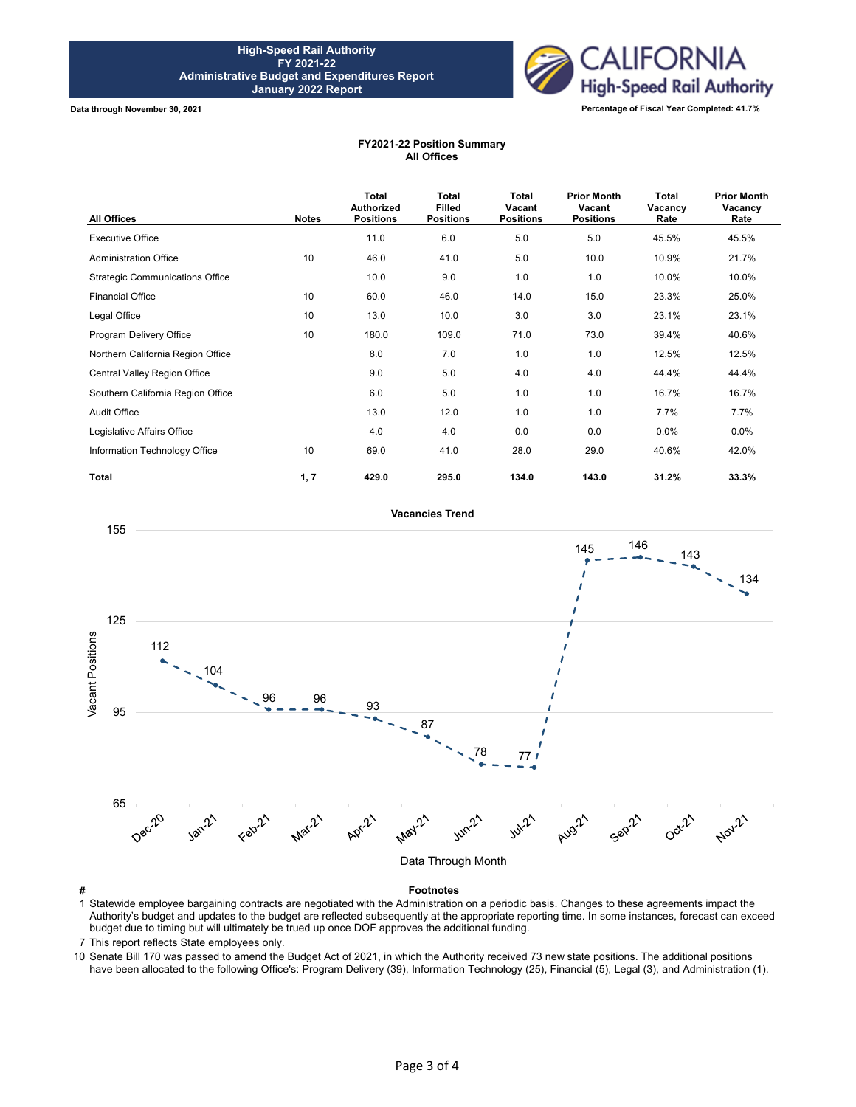

## **FY2021-22 Position Summary All Offices**

| <b>All Offices</b>                     | <b>Notes</b> | Total<br><b>Authorized</b><br><b>Positions</b> | <b>Total</b><br><b>Filled</b><br><b>Positions</b> | Total<br>Vacant<br><b>Positions</b> | <b>Prior Month</b><br>Vacant<br><b>Positions</b> | <b>Total</b><br>Vacancy<br>Rate | <b>Prior Month</b><br>Vacancy<br>Rate |
|----------------------------------------|--------------|------------------------------------------------|---------------------------------------------------|-------------------------------------|--------------------------------------------------|---------------------------------|---------------------------------------|
| <b>Executive Office</b>                |              | 11.0                                           | 6.0                                               | 5.0                                 | 5.0                                              | 45.5%                           | 45.5%                                 |
| <b>Administration Office</b>           | 10           | 46.0                                           | 41.0                                              | 5.0                                 | 10.0                                             | 10.9%                           | 21.7%                                 |
| <b>Strategic Communications Office</b> |              | 10.0                                           | 9.0                                               | 1.0                                 | 1.0                                              | 10.0%                           | 10.0%                                 |
| <b>Financial Office</b>                | 10           | 60.0                                           | 46.0                                              | 14.0                                | 15.0                                             | 23.3%                           | 25.0%                                 |
| Legal Office                           | 10           | 13.0                                           | 10.0                                              | 3.0                                 | 3.0                                              | 23.1%                           | 23.1%                                 |
| Program Delivery Office                | 10           | 180.0                                          | 109.0                                             | 71.0                                | 73.0                                             | 39.4%                           | 40.6%                                 |
| Northern California Region Office      |              | 8.0                                            | 7.0                                               | 1.0                                 | 1.0                                              | 12.5%                           | 12.5%                                 |
| Central Valley Region Office           |              | 9.0                                            | 5.0                                               | 4.0                                 | 4.0                                              | 44.4%                           | 44.4%                                 |
| Southern California Region Office      |              | 6.0                                            | 5.0                                               | 1.0                                 | 1.0                                              | 16.7%                           | 16.7%                                 |
| <b>Audit Office</b>                    |              | 13.0                                           | 12.0                                              | 1.0                                 | 1.0                                              | 7.7%                            | 7.7%                                  |
| Legislative Affairs Office             |              | 4.0                                            | 4.0                                               | 0.0                                 | 0.0                                              | 0.0%                            | $0.0\%$                               |
| Information Technology Office          | 10           | 69.0                                           | 41.0                                              | 28.0                                | 29.0                                             | 40.6%                           | 42.0%                                 |
| <b>Total</b>                           | 1, 7         | 429.0                                          | 295.0                                             | 134.0                               | 143.0                                            | 31.2%                           | 33.3%                                 |

**Vacancies Trend**



1 Statewide employee bargaining contracts are negotiated with the Administration on a periodic basis. Changes to these agreements impact the Authority's budget and updates to the budget are reflected subsequently at the appropriate reporting time. In some instances, forecast can exceed budget due to timing but will ultimately be trued up once DOF approves the additional funding.

7 This report reflects State employees only.

10 Senate Bill 170 was passed to amend the Budget Act of 2021, in which the Authority received 73 new state positions. The additional positions have been allocated to the following Office's: Program Delivery (39), Information Technology (25), Financial (5), Legal (3), and Administration (1).